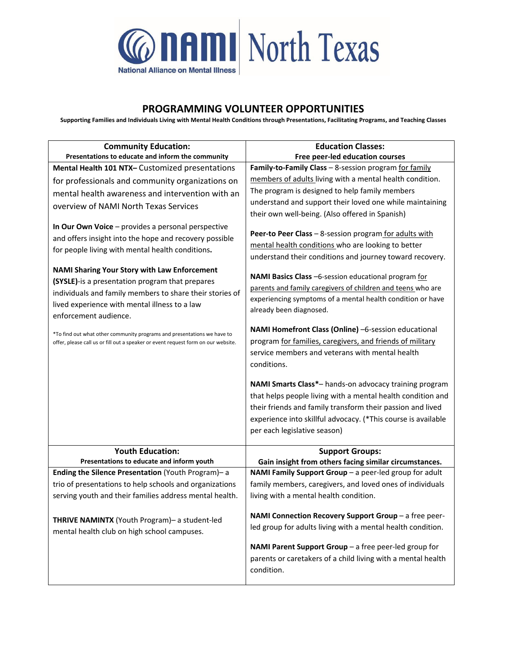

## **PROGRAMMING VOLUNTEER OPPORTUNITIES**

**Supporting Families and Individuals Living with Mental Health Conditions through Presentations, Facilitating Programs, and Teaching Classes**

|                                                                                   | <b>Education Classes:</b>                                     |
|-----------------------------------------------------------------------------------|---------------------------------------------------------------|
| <b>Community Education:</b><br>Presentations to educate and inform the community  | Free peer-led education courses                               |
| Mental Health 101 NTX- Customized presentations                                   | Family-to-Family Class - 8-session program for family         |
| for professionals and community organizations on                                  | members of adults living with a mental health condition.      |
|                                                                                   | The program is designed to help family members                |
| mental health awareness and intervention with an                                  | understand and support their loved one while maintaining      |
| overview of NAMI North Texas Services                                             | their own well-being. (Also offered in Spanish)               |
| In Our Own Voice - provides a personal perspective                                |                                                               |
| and offers insight into the hope and recovery possible                            | Peer-to Peer Class - 8-session program for adults with        |
|                                                                                   | mental health conditions who are looking to better            |
| for people living with mental health conditions.                                  | understand their conditions and journey toward recovery.      |
| <b>NAMI Sharing Your Story with Law Enforcement</b>                               |                                                               |
| (SYSLE)-is a presentation program that prepares                                   | NAMI Basics Class -6-session educational program for          |
| individuals and family members to share their stories of                          | parents and family caregivers of children and teens who are   |
| lived experience with mental illness to a law                                     | experiencing symptoms of a mental health condition or have    |
| enforcement audience.                                                             | already been diagnosed.                                       |
|                                                                                   | NAMI Homefront Class (Online) -6-session educational          |
| *To find out what other community programs and presentations we have to           | program for families, caregivers, and friends of military     |
| offer, please call us or fill out a speaker or event request form on our website. | service members and veterans with mental health               |
|                                                                                   | conditions.                                                   |
|                                                                                   |                                                               |
|                                                                                   | NAMI Smarts Class*- hands-on advocacy training program        |
|                                                                                   | that helps people living with a mental health condition and   |
|                                                                                   | their friends and family transform their passion and lived    |
|                                                                                   | experience into skillful advocacy. (*This course is available |
|                                                                                   | per each legislative season)                                  |
|                                                                                   |                                                               |
| <b>Youth Education:</b>                                                           | <b>Support Groups:</b>                                        |
| Presentations to educate and inform youth                                         | Gain insight from others facing similar circumstances.        |
| Ending the Silence Presentation (Youth Program)- a                                | NAMI Family Support Group - a peer-led group for adult        |
| trio of presentations to help schools and organizations                           | family members, caregivers, and loved ones of individuals     |
| serving youth and their families address mental health.                           | living with a mental health condition.                        |
|                                                                                   | NAMI Connection Recovery Support Group - a free peer-         |
| THRIVE NAMINTX (Youth Program)- a student-led                                     | led group for adults living with a mental health condition.   |
| mental health club on high school campuses.                                       |                                                               |
|                                                                                   | NAMI Parent Support Group - a free peer-led group for         |
|                                                                                   | parents or caretakers of a child living with a mental health  |
|                                                                                   | condition.                                                    |
|                                                                                   |                                                               |